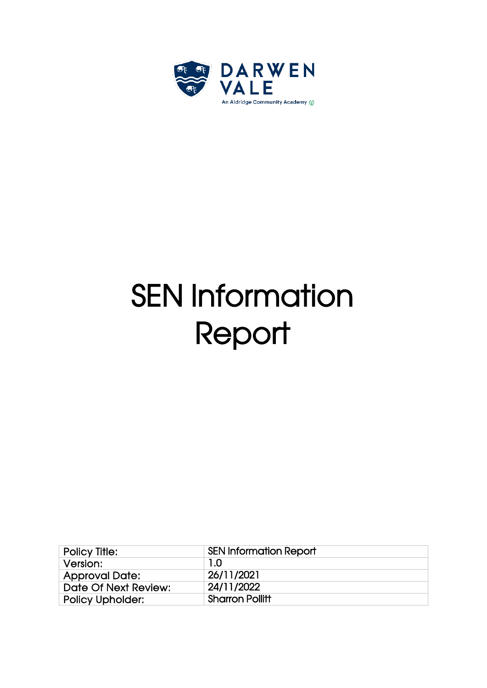

# SEN Information **Report**

| Policy Title:           | <b>SEN Information Report</b> |
|-------------------------|-------------------------------|
| Version:                | 1.0                           |
| <b>Approval Date:</b>   | 26/11/2021                    |
| Date Of Next Review:    | 24/11/2022                    |
| <b>Policy Upholder:</b> | <b>Sharron Pollitt</b>        |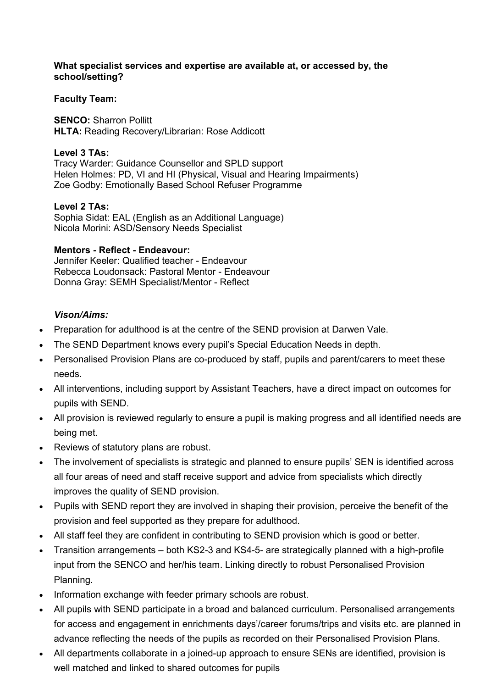#### **What specialist services and expertise are available at, or accessed by, the school/setting?**

## **Faculty Team:**

**SENCO:** Sharron Pollitt **HLTA:** Reading Recovery/Librarian: Rose Addicott

## **Level 3 TAs:**

Tracy Warder: Guidance Counsellor and SPLD support Helen Holmes: PD, VI and HI (Physical, Visual and Hearing Impairments) Zoe Godby: Emotionally Based School Refuser Programme

## **Level 2 TAs:**

Sophia Sidat: EAL (English as an Additional Language) Nicola Morini: ASD/Sensory Needs Specialist

## **Mentors - Reflect - Endeavour:**

Jennifer Keeler: Qualified teacher - Endeavour Rebecca Loudonsack: Pastoral Mentor - Endeavour Donna Gray: SEMH Specialist/Mentor - Reflect

## *Vison/Aims:*

- Preparation for adulthood is at the centre of the SEND provision at Darwen Vale.
- The SEND Department knows every pupil's Special Education Needs in depth.
- Personalised Provision Plans are co-produced by staff, pupils and parent/carers to meet these needs.
- All interventions, including support by Assistant Teachers, have a direct impact on outcomes for pupils with SEND.
- All provision is reviewed regularly to ensure a pupil is making progress and all identified needs are being met.
- Reviews of statutory plans are robust.
- The involvement of specialists is strategic and planned to ensure pupils' SEN is identified across all four areas of need and staff receive support and advice from specialists which directly improves the quality of SEND provision.
- Pupils with SEND report they are involved in shaping their provision, perceive the benefit of the provision and feel supported as they prepare for adulthood.
- All staff feel they are confident in contributing to SEND provision which is good or better.
- Transition arrangements both KS2-3 and KS4-5- are strategically planned with a high-profile input from the SENCO and her/his team. Linking directly to robust Personalised Provision Planning.
- Information exchange with feeder primary schools are robust.
- All pupils with SEND participate in a broad and balanced curriculum. Personalised arrangements for access and engagement in enrichments days'/career forums/trips and visits etc. are planned in advance reflecting the needs of the pupils as recorded on their Personalised Provision Plans.
- All departments collaborate in a joined-up approach to ensure SENs are identified, provision is well matched and linked to shared outcomes for pupils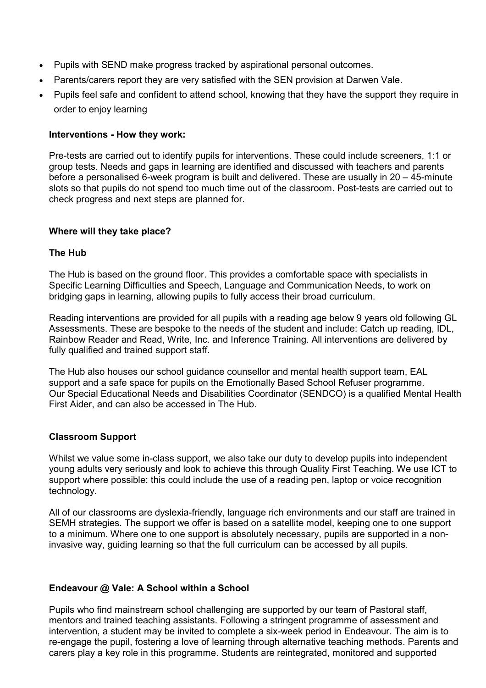- Pupils with SEND make progress tracked by aspirational personal outcomes.
- Parents/carers report they are very satisfied with the SEN provision at Darwen Vale.
- Pupils feel safe and confident to attend school, knowing that they have the support they require in order to enjoy learning

## **Interventions - How they work:**

Pre-tests are carried out to identify pupils for interventions. These could include screeners, 1:1 or group tests. Needs and gaps in learning are identified and discussed with teachers and parents before a personalised 6-week program is built and delivered. These are usually in 20 – 45-minute slots so that pupils do not spend too much time out of the classroom. Post-tests are carried out to check progress and next steps are planned for.

## **Where will they take place?**

## **The Hub**

The Hub is based on the ground floor. This provides a comfortable space with specialists in Specific Learning Difficulties and Speech, Language and Communication Needs, to work on bridging gaps in learning, allowing pupils to fully access their broad curriculum.

Reading interventions are provided for all pupils with a reading age below 9 years old following GL Assessments. These are bespoke to the needs of the student and include: Catch up reading, IDL, Rainbow Reader and Read, Write, Inc. and Inference Training. All interventions are delivered by fully qualified and trained support staff.

The Hub also houses our school guidance counsellor and mental health support team, EAL support and a safe space for pupils on the Emotionally Based School Refuser programme. Our Special Educational Needs and Disabilities Coordinator (SENDCO) is a qualified Mental Health First Aider, and can also be accessed in The Hub.

#### **Classroom Support**

Whilst we value some in-class support, we also take our duty to develop pupils into independent young adults very seriously and look to achieve this through Quality First Teaching. We use ICT to support where possible: this could include the use of a reading pen, laptop or voice recognition technology.

All of our classrooms are dyslexia-friendly, language rich environments and our staff are trained in SEMH strategies. The support we offer is based on a satellite model, keeping one to one support to a minimum. Where one to one support is absolutely necessary, pupils are supported in a noninvasive way, guiding learning so that the full curriculum can be accessed by all pupils.

#### **Endeavour @ Vale: A School within a School**

Pupils who find mainstream school challenging are supported by our team of Pastoral staff, mentors and trained teaching assistants. Following a stringent programme of assessment and intervention, a student may be invited to complete a six-week period in Endeavour. The aim is to re-engage the pupil, fostering a love of learning through alternative teaching methods. Parents and carers play a key role in this programme. Students are reintegrated, monitored and supported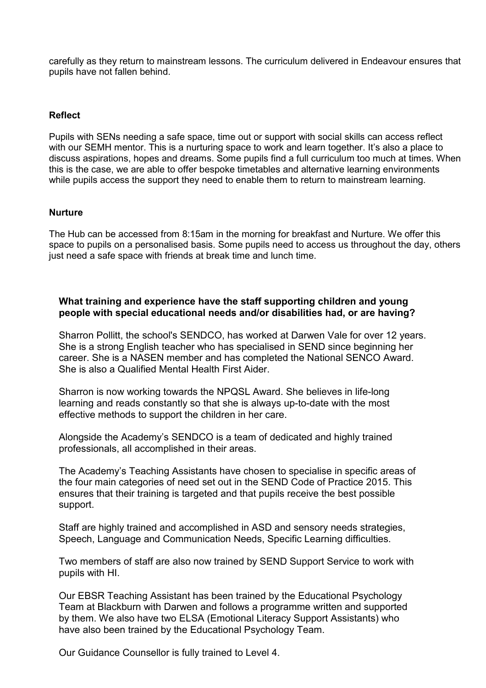carefully as they return to mainstream lessons. The curriculum delivered in Endeavour ensures that pupils have not fallen behind.

#### **Reflect**

Pupils with SENs needing a safe space, time out or support with social skills can access reflect with our SEMH mentor. This is a nurturing space to work and learn together. It's also a place to discuss aspirations, hopes and dreams. Some pupils find a full curriculum too much at times. When this is the case, we are able to offer bespoke timetables and alternative learning environments while pupils access the support they need to enable them to return to mainstream learning.

#### **Nurture**

The Hub can be accessed from 8:15am in the morning for breakfast and Nurture. We offer this space to pupils on a personalised basis. Some pupils need to access us throughout the day, others just need a safe space with friends at break time and lunch time.

## **What training and experience have the staff supporting children and young people with special educational needs and/or disabilities had, or are having?**

Sharron Pollitt, the school's SENDCO, has worked at Darwen Vale for over 12 years. She is a strong English teacher who has specialised in SEND since beginning her career. She is a NASEN member and has completed the National SENCO Award. She is also a Qualified Mental Health First Aider.

Sharron is now working towards the NPQSL Award. She believes in life-long learning and reads constantly so that she is always up-to-date with the most effective methods to support the children in her care.

Alongside the Academy's SENDCO is a team of dedicated and highly trained professionals, all accomplished in their areas.

The Academy's Teaching Assistants have chosen to specialise in specific areas of the four main categories of need set out in the SEND Code of Practice 2015. This ensures that their training is targeted and that pupils receive the best possible support.

Staff are highly trained and accomplished in ASD and sensory needs strategies, Speech, Language and Communication Needs, Specific Learning difficulties.

Two members of staff are also now trained by SEND Support Service to work with pupils with HI.

Our EBSR Teaching Assistant has been trained by the Educational Psychology Team at Blackburn with Darwen and follows a programme written and supported by them. We also have two ELSA (Emotional Literacy Support Assistants) who have also been trained by the Educational Psychology Team.

Our Guidance Counsellor is fully trained to Level 4.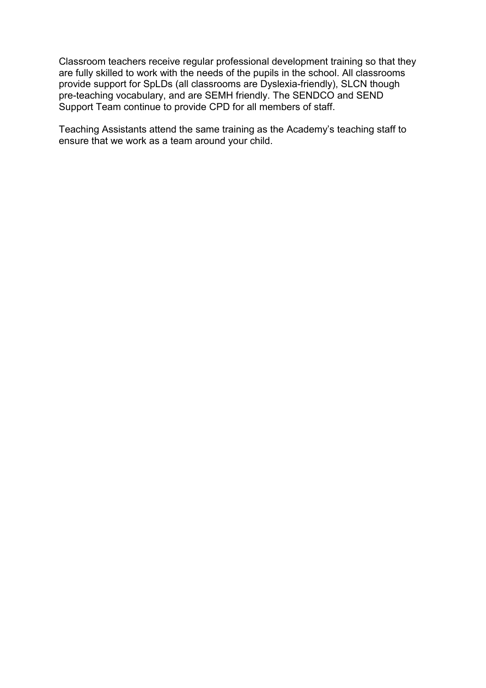Classroom teachers receive regular professional development training so that they are fully skilled to work with the needs of the pupils in the school. All classrooms provide support for SpLDs (all classrooms are Dyslexia-friendly), SLCN though pre-teaching vocabulary, and are SEMH friendly. The SENDCO and SEND Support Team continue to provide CPD for all members of staff.

Teaching Assistants attend the same training as the Academy's teaching staff to ensure that we work as a team around your child.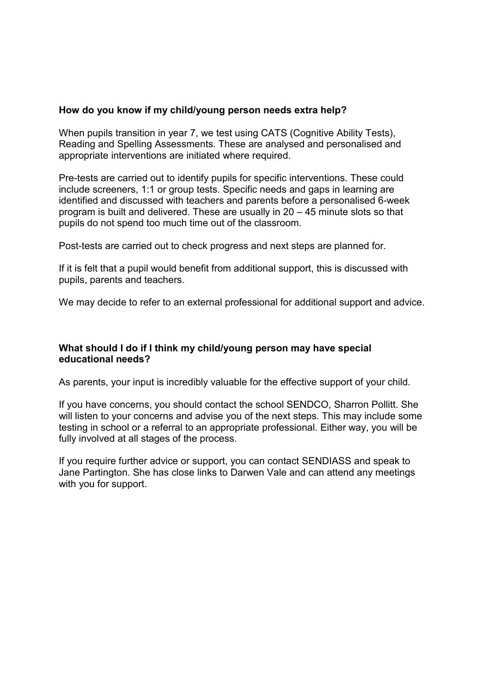## **How do you know if my child/young person needs extra help?**

When pupils transition in year 7, we test using CATS (Cognitive Ability Tests), Reading and Spelling Assessments. These are analysed and personalised and appropriate interventions are initiated where required.

Pre-tests are carried out to identify pupils for specific interventions. These could include screeners, 1:1 or group tests. Specific needs and gaps in learning are identified and discussed with teachers and parents before a personalised 6-week program is built and delivered. These are usually in 20 – 45 minute slots so that pupils do not spend too much time out of the classroom.

Post-tests are carried out to check progress and next steps are planned for.

If it is felt that a pupil would benefit from additional support, this is discussed with pupils, parents and teachers.

We may decide to refer to an external professional for additional support and advice.

## **What should I do if I think my child/young person may have special educational needs?**

As parents, your input is incredibly valuable for the effective support of your child.

If you have concerns, you should contact the school SENDCO, Sharron Pollitt. She will listen to your concerns and advise you of the next steps. This may include some testing in school or a referral to an appropriate professional. Either way, you will be fully involved at all stages of the process.

If you require further advice or support, you can contact SENDIASS and speak to Jane Partington. She has close links to Darwen Vale and can attend any meetings with you for support.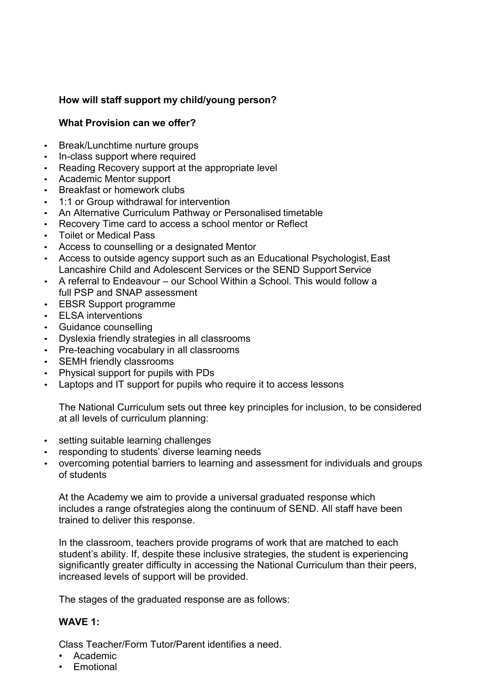# **How will staff support my child/young person?**

# **What Provision can we offer?**

- Break/Lunchtime nurture groups
- In-class support where required
- Reading Recovery support at the appropriate level
- Academic Mentor support
- Breakfast or homework clubs
- 1:1 or Group withdrawal for intervention
- An Alternative Curriculum Pathway or Personalised timetable
- Recovery Time card to access a school mentor or Reflect
- Toilet or Medical Pass
- Access to counselling or a designated Mentor
- Access to outside agency support such as an Educational Psychologist, East Lancashire Child and Adolescent Services or the SEND Support Service
- A referral to Endeavour our School Within a School. This would follow a full PSP and SNAP assessment
- EBSR Support programme
- ELSA interventions
- Guidance counselling
- Dyslexia friendly strategies in all classrooms
- Pre-teaching vocabulary in all classrooms
- SEMH friendly classrooms
- Physical support for pupils with PDs
- Laptops and IT support for pupils who require it to access lessons

The National Curriculum sets out three key principles for inclusion, to be considered at all levels of curriculum planning:

- setting suitable learning challenges
- responding to students' diverse learning needs
- overcoming potential barriers to learning and assessment for individuals and groups of students

At the Academy we aim to provide a universal graduated response which includes a range of strategies along the continuum of SEND. All staff have been trained to deliver this response.

In the classroom, teachers provide programs of work that are matched to each student's ability. If, despite these inclusive strategies, the student is experiencing significantly greater difficulty in accessing the National Curriculum than their peers, increased levels of support will be provided.

The stages of the graduated response are as follows:

## **WAVE 1:**

Class Teacher/Form Tutor/Parent identifies a need.

- Academic
- Emotional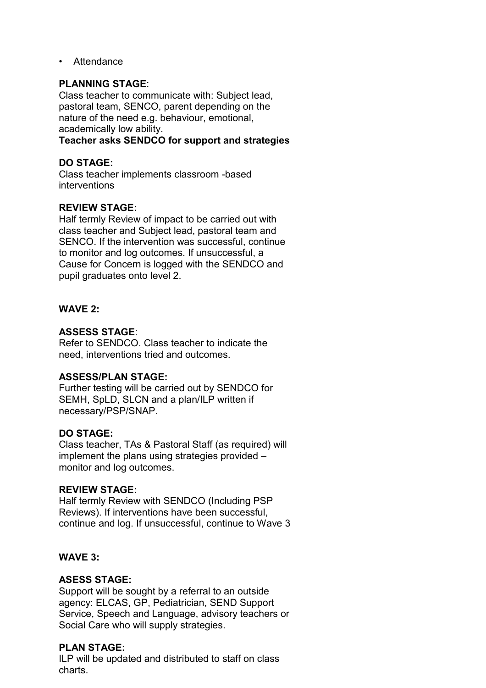• Attendance

## **PLANNING STAGE**:

Class teacher to communicate with: Subject lead, pastoral team, SENCO, parent depending on the nature of the need e.g. behaviour, emotional, academically low ability.

## **Teacher asks SENDCO for support and strategies**

## **DO STAGE:**

Class teacher implements classroom -based interventions

## **REVIEW STAGE:**

Half termly Review of impact to be carried out with class teacher and Subject lead, pastoral team and SENCO. If the intervention was successful, continue to monitor and log outcomes. If unsuccessful, a Cause for Concern is logged with the SENDCO and pupil graduates onto level 2.

# **WAVE 2:**

## **ASSESS STAGE**:

Refer to SENDCO. Class teacher to indicate the need, interventions tried and outcomes.

#### **ASSESS/PLAN STAGE:**

Further testing will be carried out by SENDCO for SEMH, SpLD, SLCN and a plan/ILP written if necessary/PSP/SNAP.

#### **DO STAGE:**

Class teacher, TAs & Pastoral Staff (as required) will implement the plans using strategies provided – monitor and log outcomes.

#### **REVIEW STAGE:**

Half termly Review with SENDCO (Including PSP Reviews). If interventions have been successful, continue and log. If unsuccessful, continue to Wave 3

## **WAVE 3:**

#### **ASESS STAGE:**

Support will be sought by a referral to an outside agency: ELCAS, GP, Pediatrician, SEND Support Service, Speech and Language, advisory teachers or Social Care who will supply strategies.

#### **PLAN STAGE:**

ILP will be updated and distributed to staff on class charts.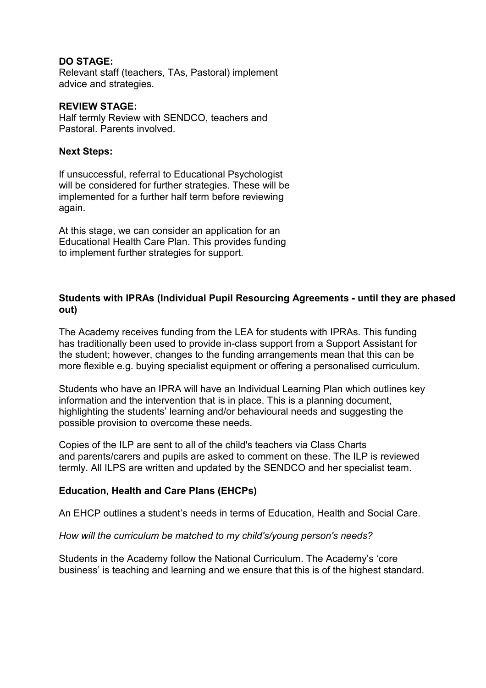## **DO STAGE:**

Relevant staff (teachers, TAs, Pastoral) implement advice and strategies.

#### **REVIEW STAGE:**

Half termly Review with SENDCO, teachers and Pastoral. Parents involved.

#### **Next Steps:**

If unsuccessful, referral to Educational Psychologist will be considered for further strategies. These will be implemented for a further half term before reviewing again.

At this stage, we can consider an application for an Educational Health Care Plan. This provides funding to implement further strategies for support.

## **Students with IPRAs (Individual Pupil Resourcing Agreements - until they are phased out)**

The Academy receives funding from the LEA for students with IPRAs. This funding has traditionally been used to provide in-class support from a Support Assistant for the student; however, changes to the funding arrangements mean that this can be more flexible e.g. buying specialist equipment or offering a personalised curriculum.

Students who have an IPRA will have an Individual Learning Plan which outlines key information and the intervention that is in place. This is a planning document, highlighting the students' learning and/or behavioural needs and suggesting the possible provision to overcome these needs.

Copies of the ILP are sent to all of the child's teachers via Class Charts and parents/carers and pupils are asked to comment on these. The ILP is reviewed termly. All ILPS are written and updated by the SENDCO and her specialist team.

## **Education, Health and Care Plans (EHCPs)**

An EHCP outlines a student's needs in terms of Education, Health and Social Care.

## *How will the curriculum be matched to my child's/young person's needs?*

Students in the Academy follow the National Curriculum. The Academy's 'core business' is teaching and learning and we ensure that this is of the highest standard.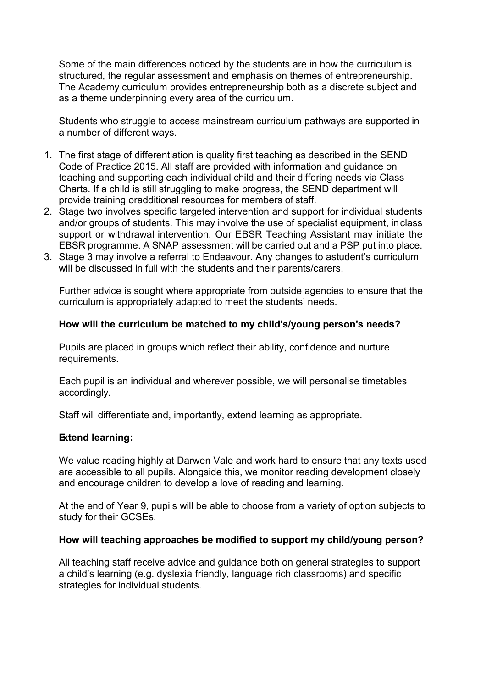Some of the main differences noticed by the students are in how the curriculum is structured, the regular assessment and emphasis on themes of entrepreneurship. The Academy curriculum provides entrepreneurship both as a discrete subject and as a theme underpinning every area of the curriculum.

Students who struggle to access mainstream curriculum pathways are supported in a number of different ways.

- 1. The first stage of differentiation is quality first teaching as described in the SEND Code of Practice 2015. All staff are provided with information and guidance on teaching and supporting each individual child and their differing needs via Class Charts. If a child is still struggling to make progress, the SEND department will provide training oradditional resources for members of staff.
- 2. Stage two involves specific targeted intervention and support for individual students and/or groups of students. This may involve the use of specialist equipment, in class support or withdrawal intervention. Our EBSR Teaching Assistant may initiate the EBSR programme. A SNAP assessment will be carried out and a PSP put into place.
- 3. Stage 3 may involve a referral to Endeavour. Any changes to astudent's curriculum will be discussed in full with the students and their parents/carers.

Further advice is sought where appropriate from outside agencies to ensure that the curriculum is appropriately adapted to meet the students' needs.

## **How will the curriculum be matched to my child's/young person's needs?**

Pupils are placed in groups which reflect their ability, confidence and nurture requirements.

Each pupil is an individual and wherever possible, we will personalise timetables accordingly.

Staff will differentiate and, importantly, extend learning as appropriate.

## **Extend learning:**

We value reading highly at Darwen Vale and work hard to ensure that any texts used are accessible to all pupils. Alongside this, we monitor reading development closely and encourage children to develop a love of reading and learning.

At the end of Year 9, pupils will be able to choose from a variety of option subjects to study for their GCSEs.

## **How will teaching approaches be modified to support my child/young person?**

All teaching staff receive advice and guidance both on general strategies to support a child's learning (e.g. dyslexia friendly, language rich classrooms) and specific strategies for individual students.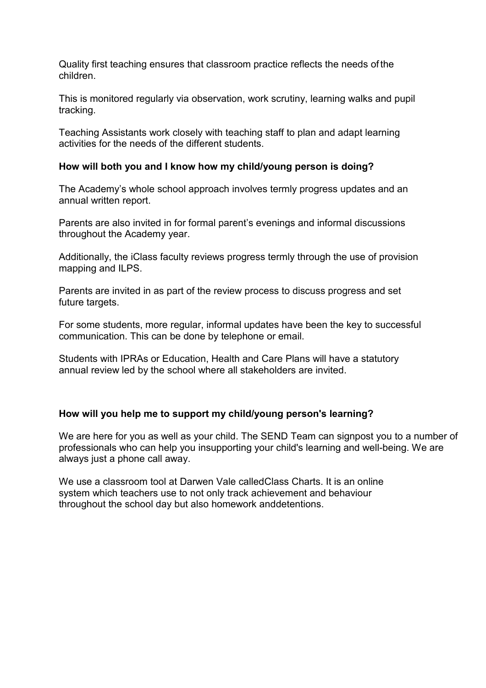Quality first teaching ensures that classroom practice reflects the needs of the children.

This is monitored regularly via observation, work scrutiny, learning walks and pupil tracking.

Teaching Assistants work closely with teaching staff to plan and adapt learning activities for the needs of the different students.

# **How will both you and I know how my child/young person is doing?**

The Academy's whole school approach involves termly progress updates and an annual written report.

Parents are also invited in for formal parent's evenings and informal discussions throughout the Academy year.

Additionally, the iClass faculty reviews progress termly through the use of provision mapping and ILPS.

Parents are invited in as part of the review process to discuss progress and set future targets.

For some students, more regular, informal updates have been the key to successful communication. This can be done by telephone or email.

Students with IPRAs or Education, Health and Care Plans will have a statutory annual review led by the school where all stakeholders are invited.

# **How will you help me to support my child/young person's learning?**

We are here for you as well as your child. The SEND Team can signpost you to a number of professionals who can help you insupporting your child's learning and well-being. We are always just a phone call away.

We use a classroom tool at Darwen Vale called Class Charts. It is an online system which teachers use to not only track achievement and behaviour throughout the school day but also homework and detentions.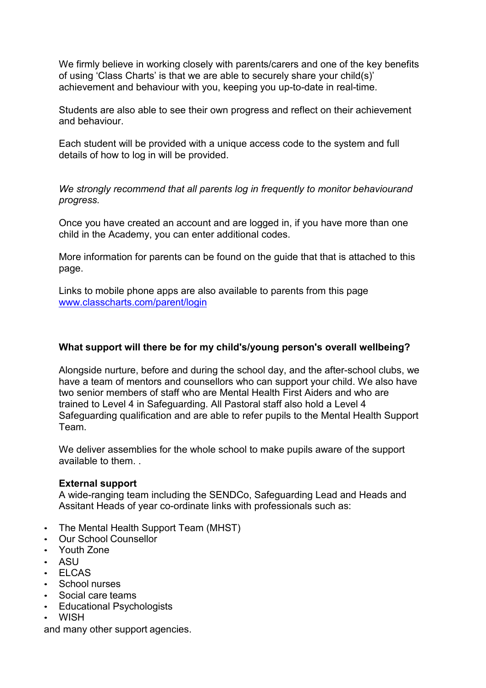We firmly believe in working closely with parents/carers and one of the key benefits of using 'Class Charts' is that we are able to securely share your child(s)' achievement and behaviour with you, keeping you up-to-date in real-time.

Students are also able to see their own progress and reflect on their achievement and behaviour.

Each student will be provided with a unique access code to the system and full details of how to log in will be provided.

*We strongly recommend that all parents log in frequently to monitor behaviourand progress.*

Once you have created an account and are logged in, if you have more than one child in the Academy, you can enter additional codes.

More information for parents can be found on the guide that that is attached to this page.

Links to mobile phone apps are also available to parents from this page [www.classcharts.com/parent/login](http://www.classcharts.com/parent/login)

# **What support will there be for my child's/young person's overall wellbeing?**

Alongside nurture, before and during the school day, and the after-school clubs, we have a team of mentors and counsellors who can support your child. We also have two senior members of staff who are Mental Health First Aiders and who are trained to Level 4 in Safeguarding. All Pastoral staff also hold a Level 4 Safeguarding qualification and are able to refer pupils to the Mental Health Support Team.

We deliver assemblies for the whole school to make pupils aware of the support available to them. .

## **External support**

A wide-ranging team including the SENDCo, Safeguarding Lead and Heads and Assitant Heads of year co-ordinate links with professionals such as:

- The Mental Health Support Team (MHST)
- Our School Counsellor
- Youth Zone
- ASU
- ELCAS
- School nurses
- Social care teams
- Educational Psychologists
- WISH

and many other support agencies.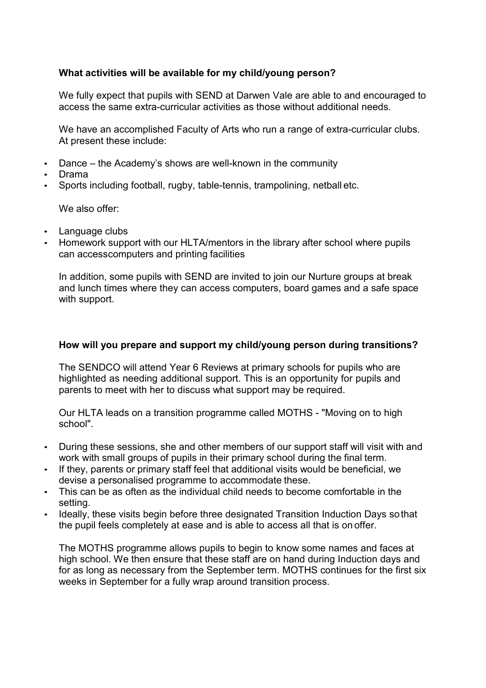# **What activities will be available for my child/young person?**

We fully expect that pupils with SEND at Darwen Vale are able to and encouraged to access the same extra-curricular activities as those without additional needs.

We have an accomplished Faculty of Arts who run a range of extra-curricular clubs. At present these include:

- Dance the Academy's shows are well-known in the community
- Drama
- Sports including football, rugby, table-tennis, trampolining, netball etc.

We also offer:

- Language clubs
- Homework support with our HLTA/mentors in the library after school where pupils can access computers and printing facilities

In addition, some pupils with SEND are invited to join our Nurture groups at break and lunch times where they can access computers, board games and a safe space with support.

## **How will you prepare and support my child/young person during transitions?**

The SENDCO will attend Year 6 Reviews at primary schools for pupils who are highlighted as needing additional support. This is an opportunity for pupils and parents to meet with her to discuss what support may be required.

Our HLTA leads on a transition programme called MOTHS - "Moving on to high school".

- During these sessions, she and other members of our support staff will visit with and work with small groups of pupils in their primary school during the final term.
- If they, parents or primary staff feel that additional visits would be beneficial, we devise a personalised programme to accommodate these.
- This can be as often as the individual child needs to become comfortable in the setting.
- Ideally, these visits begin before three designated Transition Induction Days sothat the pupil feels completely at ease and is able to access all that is on offer.

The MOTHS programme allows pupils to begin to know some names and faces at high school. We then ensure that these staff are on hand during Induction days and for as long as necessary from the September term. MOTHS continues for the first six weeks in September for a fully wrap around transition process.